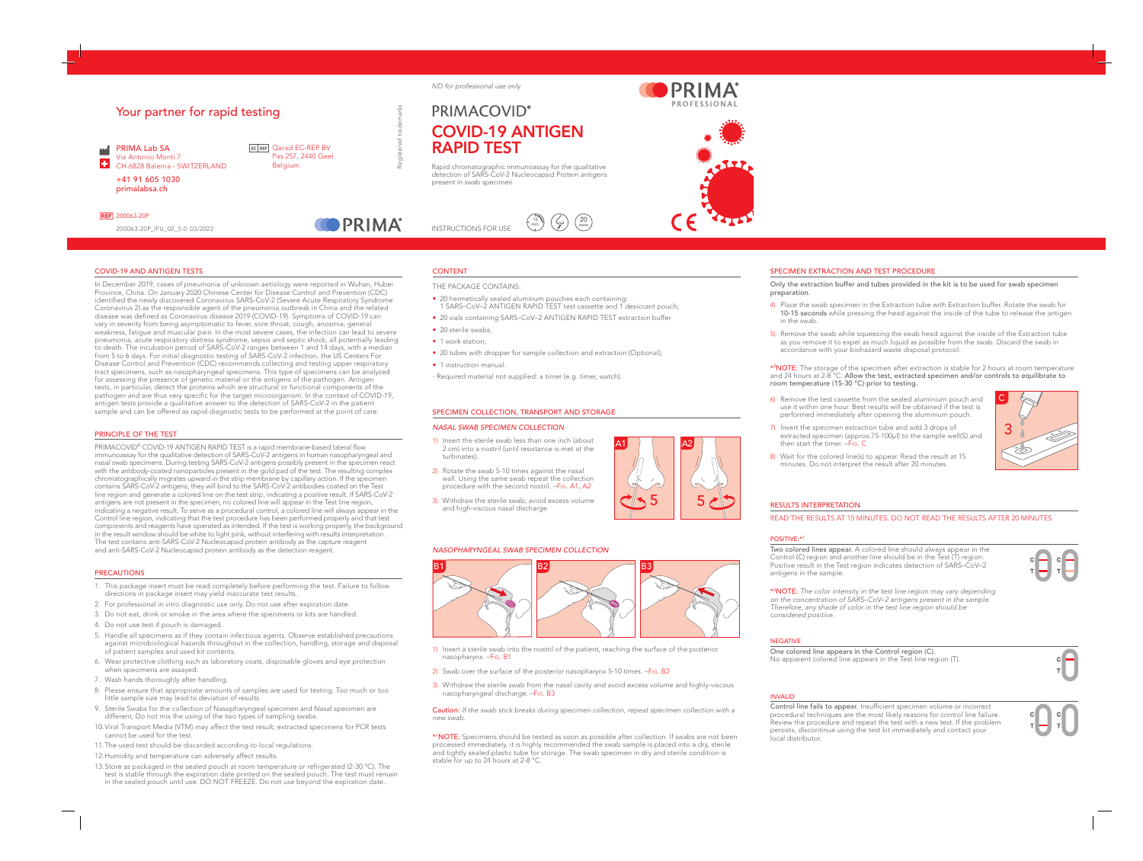*Registered trademarks*

**COPRIMA** 

# COVID-19 AND ANTIGEN TESTS

In December 2019, cases of pneumonia of unknown aetiology were reported in Wuhan, Hubei Province, China. On January 2020 Chinese Center for Disease Control and Prevention (CDC) identified the newly discovered Coronavirus SARS-CoV-2 (Severe Acute Respiratory Syndrome Coronavirus 2) as the responsible agent of the pneumonia outbreak in China and the related disease was defined as Coronavirus disease 2019 (COVID-19). Symptoms of COVID-19 can vary in severity from being asymptomatic to fever, sore throat, cough, anosmia, general weakness, fatigue and muscular pain. In the most severe cases, the infection can lead to severe pneumonia, acute respiratory distress syndrome, sepsis and septic shock, all potentially leading to death. The incubation period of SARS-CoV-2 ranges between 1 and 14 days, with a median from 5 to 6 days. For initial diagnostic testing of SARS-CoV-2 infection, the US Centers For Disease Control and Prevention (CDC) recommends collecting and testing upper respiratory tract specimens, such as nasopharyngeal specimens. This type of specimens can be analyzed for assessing the presence of genetic material or the antigens of the pathogen. Antigen tests, in particular, detect the proteins which are structural or functional components of the pathogen and are thus very specific for the target microorganism. In the context of COVID-19, antigen tests provide a qualitative answer to the detection of SARS-CoV-2 in the patient sample and can be offered as rapid diagnostic tests to be performed at the point of care.

# PRINCIPLE OF THE TEST

PRIMACOVID® COVID-19 ANTIGEN RAPID TEST is a rapid membrane-based lateral flow immunoassay for the qualitative detection of SARS-CoV-2 antigens in human nasopharyngeal and nasal swab specimens. During testing SARS-CoV-2 antigens possibly present in the specimen react with the antibody-coated nanoparticles present in the gold pad of the test. The resulting complex chromatographically migrates upward in the strip membrane by capillary action. If the specimen contains SARS-CoV-2 antigens, they will bind to the SARS-CoV-2 antibodies coated on the Test line region and generate a colored line on the test strip, indicating a positive result. If SARS-CoV-2 antigens are not present in the specimen, no colored line will appear in the Test line region, indicating a negative result. To serve as a procedural control, a colored line will always appear in the Control line region, indicating that the test procedure has been performed properly and that test components and reagents have operated as intended. If the test is working properly, the background in the result window should be white to light pink, without interfering with results interpretation. The test contains anti-SARS-CoV-2 Nucleocapsid protein antibody as the capture reagent and anti-SARS-CoV-2 Nucleocapsid protein antibody as the detection reagent.

## **PRECAUTIONS**

- 20 sterile swabs;
- 1 work station:
- 20 tubes with dropper for sample collection and extraction (Optional);
- 1 instruction manual.
- Required material not supplied: a timer (e.g. timer, watch).

- 1) Insert the sterile swab less than one inch (about 2 cm) into a nostril (until resistance is met at the turbinates).
- 2) Rotate the swab 5-10 times against the nasal wall. Using the same swab repeat the collection procedure with the second nostril. –Fig. A1, A2
- 3) Withdraw the sterile swab; avoid excess volume and high-viscous nasal discharge

7) Invert the specimen extraction tube and add 3 drops of extracted specimen (approx.75-100μl) to the sample well(S) and then start the timer. -Fig. C

8) Wait for the colored line(s) to appear. Read the result at 15 minutes. Do not interpret the result after 20 minutes.

- 1. This package insert must be read completely before performing the test. Failure to follow directions in package insert may yield inaccurate test results.
- 2. For professional in vitro diagnostic use only. Do not use after expiration date.
- 3. Do not eat, drink or smoke in the area where the specimens or kits are handled.
- 4. Do not use test if pouch is damaged.
- 5. Handle all specimens as if they contain infectious agents. Observe established precautions against microbiological hazards throughout in the collection, handling, storage and disposal of patient samples and used kit contents.
- 6. Wear protective clothing such as laboratory coats, disposable gloves and eye protection when specimens are assayed.
- 7. Wash hands thoroughly after handling.
- 8. Please ensure that appropriate amounts of samples are used for testing. Too much or too little sample size may lead to deviation of results.
- 9. Sterile Swabs for the collection of Nasopharyngeal specimen and Nasal specimen are different, Do not mix the using of the two types of sampling swabs.
- 10.Viral Transport Media (VTM) may affect the test result; extracted specimens for PCR tests cannot be used for the test.
- 11.The used test should be discarded according to local regulations.
- 12.Humidity and temperature can adversely affect results.
- 13.Store as packaged in the sealed pouch at room temperature or refrigerated (2-30 °C). The test is stable through the expiration date printed on the sealed pouch. The test must remain in the sealed pouch until use. DO NOT FREEZE. Do not use beyond the expiration date.

# **PRIMACOVID®** COVID-19 ANTIGEN RAPID TEST

INSTRUCTIONS FOR USE 15 min.

PRIMA®



# CONTENT

THE PACKAGE CONTAINS:

- 20 hermetically sealed aluminum pouches each containing: 1 SARS–CoV–2 ANTIGEN RAPID TEST test cassette and 1 desiccant pouch;
- 20 vials containing SARS–CoV–2 ANTIGEN RAPID TEST extraction buffer

# SPECIMEN COLLECTION, TRANSPORT AND STORAGE

# *NASAL SWAB SPECIMEN COLLECTION*

## *NASOPHARYNGEAL SWAB SPECIMEN COLLECTION*

- 1) Insert a sterile swab into the nostril of the patient, reaching the surface of the posterior nasopharynx. –Fig. B1
- 2) Swab over the surface of the posterior nasopharynx 5-10 times. FIG. B2
- 3) Withdraw the sterile swab from the nasal cavity and avoid excess volume and highly-viscous nasopharyngeal discharge. –Fig. B3

Caution: *If the swab stick breaks during specimen collection, repeat specimen collection with a new swab.*



\*1 NOTE: Specimens should be tested as soon as possible after collection. If swabs are not been processed immediately, it is highly recommended the swab sample is placed into a dry, sterile and tightly sealed plastic tube for storage. The swab specimen in dry and sterile condition is stable for up to 24 hours at 2-8 °C.

5

A1

5

A2

# SPECIMEN EXTRACTION AND TEST PROCEDURE

Only the extraction buffer and tubes provided in the kit is to be used for swab specimen

# preparation.

4) Place the swab specimen in the Extraction tube with Extraction buffer. Rotate the swab for 10-15 seconds while pressing the head against the inside of the tube to release the antigen in the swab.

5) Remove the swab while squeezing the swab head against the inside of the Extraction tube as you remove it to expel as much liquid as possible from the swab. Discard the swab in accordance with your biohazard waste disposal protocol.

\*2 NOTE: The storage of the specimen after extraction is stable for 2 hours at room temperature and 24 hours at 2-8 °C. Allow the test, extracted specimen and/or controls to equilibrate to room temperature (15-30 °C) prior to testing.

6) Remove the test cassette from the sealed aluminium pouch and use it within one hour. Best results will be obtained if the test is performed immediately after opening the aluminium pouch.

# RESULTS INTERPRETATION READ THE RESULTS AT 15 MINUTES. DO NOT READ THE RESULTS AFTER 20 MINUTES

Two colored lines appear. A colored line should always appear in the Control (C) region and another line should be in the Test (T) region. Positive result in the Test region indicates detection of SARS–CoV–2 antigens in the sample.

\*3 NOTE: *The color intensity in the test line region may vary depending on the concentration of SARS–CoV–2 antigens present in the sample. Therefore, any shade of color in the test line region should be considered positive.*

# NEGATIVE

One colored line appears in the Control region (C). No apparent colored line appears in the Test line region (T).

# INVALID

Control line fails to appear. Insufficient specimen volume or incorrect procedural techniques are the most likely reasons for control line failure. Review the procedure and repeat the test with a new test. If the problem persists, discontinue using the test kit immediately and contact your local distributor.





### POSITIVE:\* ŗ

# Your partner for rapid testing

PRIMA Lab SA **MA** Via Antonio Monti 7  $\left| \cdot \right|$ CH-6828 Balerna - SWITZERLAND +41 91 605 1030

primalabsa.ch

**REF** 200063-20P

Rapid chromatographic immunoassay for the qualitative detection of SARS-CoV-2 Nucleocapsid Protein antigens present in swab specimen

20 tests

200063-20P\_IFU\_02\_5.0 03/2022

EC REP **Qarad EC-REP BV** Pas 257, 2440 Geel **Belgium** 

*IVD for professional use only*